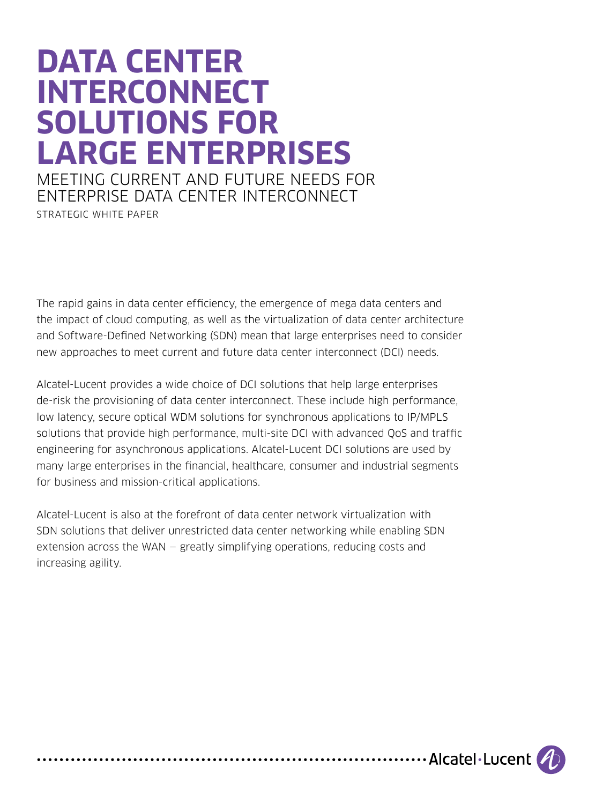# **DATA CENTER INTERCONNECT SOLUTIONS FOR LARGE ENTERPRISES**

MEETING CURRENT AND FUTURE NEEDS FOR ENTERPRISE DATA CENTER INTERCONNECT STRATEGIC WHITE PAPER

The rapid gains in data center efficiency, the emergence of mega data centers and the impact of cloud computing, as well as the virtualization of data center architecture and Software-Defined Networking (SDN) mean that large enterprises need to consider new approaches to meet current and future data center interconnect (DCI) needs.

Alcatel-Lucent provides a wide choice of DCI solutions that help large enterprises de-risk the provisioning of data center interconnect. These include high performance, low latency, secure optical WDM solutions for synchronous applications to IP/MPLS solutions that provide high performance, multi-site DCI with advanced QoS and traffic engineering for asynchronous applications. Alcatel-Lucent DCI solutions are used by many large enterprises in the financial, healthcare, consumer and industrial segments for business and mission-critical applications.

Alcatel-Lucent is also at the forefront of data center network virtualization with SDN solutions that deliver unrestricted data center networking while enabling SDN extension across the WAN — greatly simplifying operations, reducing costs and increasing agility.

.................... Alcatel Lucent (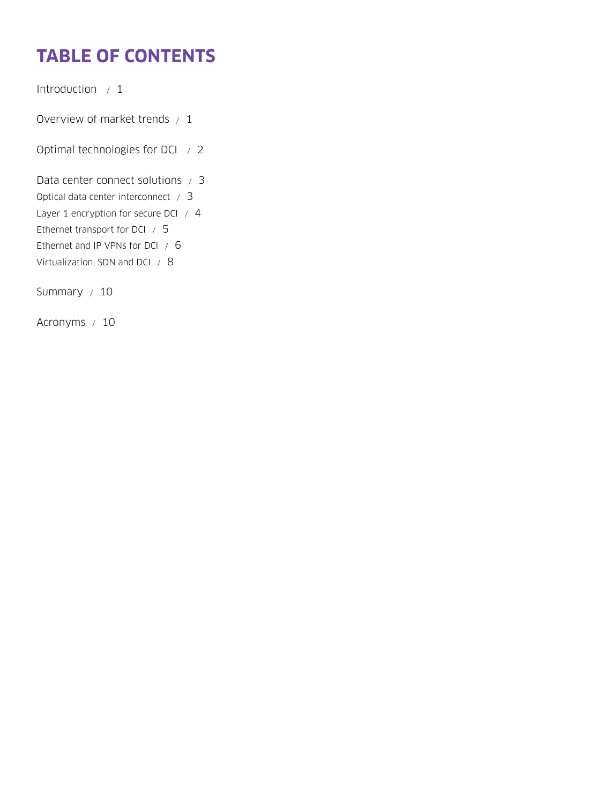## **TABLE OF CONTENTS**

[Introduction / 1](#page-2-0)

[Overview of market trends / 1](#page-2-0)

[Optimal technologies for DCI / 2](#page-3-0)

[Data center connect solutions / 3](#page-4-0) [Optical data center interconnect / 3](#page-4-0) [Layer 1 encryption for secure DCI / 4](#page-5-0) [Ethernet transport for DCI / 5](#page-6-0) [Ethernet and IP VPNs for DCI / 6](#page-7-0) [Virtualization, SDN and DCI / 8](#page-9-0)

[Summary / 10](#page-11-0)

[Acronyms / 10](#page-11-0)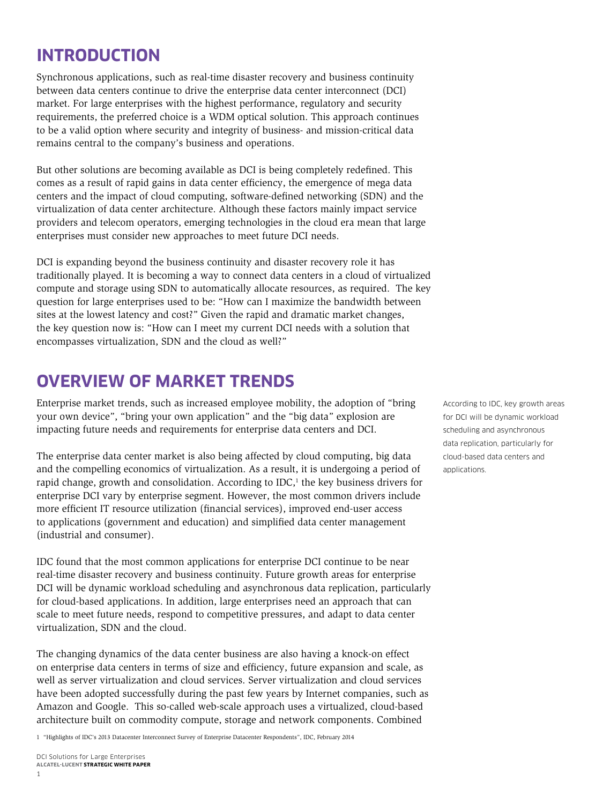## <span id="page-2-0"></span>**INTRODUCTION**

Synchronous applications, such as real-time disaster recovery and business continuity between data centers continue to drive the enterprise data center interconnect (DCI) market. For large enterprises with the highest performance, regulatory and security requirements, the preferred choice is a WDM optical solution. This approach continues to be a valid option where security and integrity of business- and mission-critical data remains central to the company's business and operations.

But other solutions are becoming available as DCI is being completely redefined. This comes as a result of rapid gains in data center efficiency, the emergence of mega data centers and the impact of cloud computing, software-defined networking (SDN) and the virtualization of data center architecture. Although these factors mainly impact service providers and telecom operators, emerging technologies in the cloud era mean that large enterprises must consider new approaches to meet future DCI needs.

DCI is expanding beyond the business continuity and disaster recovery role it has traditionally played. It is becoming a way to connect data centers in a cloud of virtualized compute and storage using SDN to automatically allocate resources, as required. The key question for large enterprises used to be: "How can I maximize the bandwidth between sites at the lowest latency and cost?" Given the rapid and dramatic market changes, the key question now is: "How can I meet my current DCI needs with a solution that encompasses virtualization, SDN and the cloud as well?"

## **OVERVIEW OF MARKET TRENDS**

Enterprise market trends, such as increased employee mobility, the adoption of "bring your own device", "bring your own application" and the "big data" explosion are impacting future needs and requirements for enterprise data centers and DCI.

The enterprise data center market is also being affected by cloud computing, big data and the compelling economics of virtualization. As a result, it is undergoing a period of rapid change, growth and consolidation. According to  $IDC<sub>i</sub>$ <sup>1</sup> the key business drivers for enterprise DCI vary by enterprise segment. However, the most common drivers include more efficient IT resource utilization (financial services), improved end-user access to applications (government and education) and simplified data center management (industrial and consumer).

IDC found that the most common applications for enterprise DCI continue to be near real-time disaster recovery and business continuity. Future growth areas for enterprise DCI will be dynamic workload scheduling and asynchronous data replication, particularly for cloud-based applications. In addition, large enterprises need an approach that can scale to meet future needs, respond to competitive pressures, and adapt to data center virtualization, SDN and the cloud.

The changing dynamics of the data center business are also having a knock-on effect on enterprise data centers in terms of size and efficiency, future expansion and scale, as well as server virtualization and cloud services. Server virtualization and cloud services have been adopted successfully during the past few years by Internet companies, such as Amazon and Google. This so-called web-scale approach uses a virtualized, cloud-based architecture built on commodity compute, storage and network components. Combined

1 "Highlights of IDC's 2013 Datacenter Interconnect Survey of Enterprise Datacenter Respondents", IDC, February 2014

DCI Solutions for Large Enterprises **ALCATEL-LUCENT STRATEGIC WHITE PAPER** According to IDC, key growth areas for DCI will be dynamic workload scheduling and asynchronous data replication, particularly for cloud-based data centers and applications.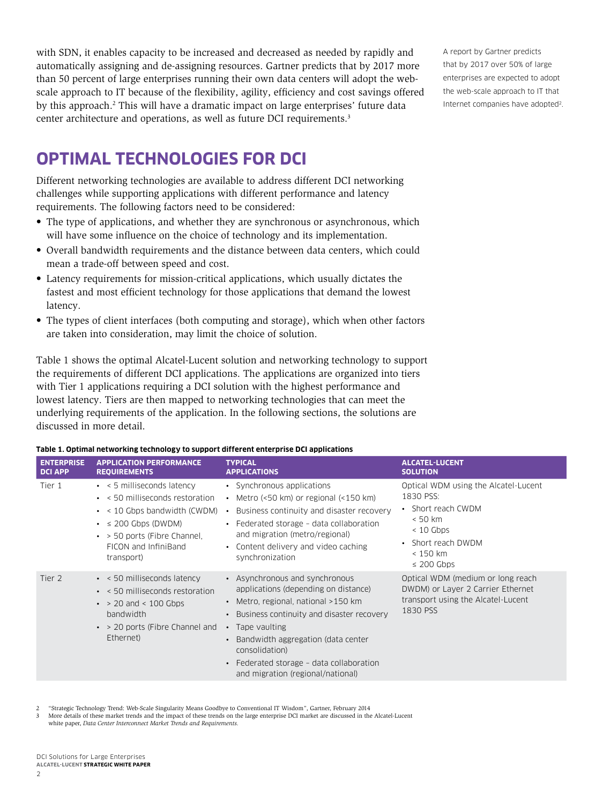<span id="page-3-0"></span>with SDN, it enables capacity to be increased and decreased as needed by rapidly and automatically assigning and de-assigning resources. Gartner predicts that by 2017 more than 50 percent of large enterprises running their own data centers will adopt the webscale approach to IT because of the flexibility, agility, efficiency and cost savings offered by this approach.<sup>2</sup> This will have a dramatic impact on large enterprises' future data center architecture and operations, as well as future DCI requirements.3

A report by Gartner predicts that by 2017 over 50% of large enterprises are expected to adopt the web-scale approach to IT that Internet companies have adopted<sup>2</sup>.

## **OPTIMAL TECHNOLOGIES FOR DCI**

Different networking technologies are available to address different DCI networking challenges while supporting applications with different performance and latency requirements. The following factors need to be considered:

- The type of applications, and whether they are synchronous or asynchronous, which will have some influence on the choice of technology and its implementation.
- Overall bandwidth requirements and the distance between data centers, which could mean a trade-off between speed and cost.
- Latency requirements for mission-critical applications, which usually dictates the fastest and most efficient technology for those applications that demand the lowest latency.
- The types of client interfaces (both computing and storage), which when other factors are taken into consideration, may limit the choice of solution.

Table 1 shows the optimal Alcatel-Lucent solution and networking technology to support the requirements of different DCI applications. The applications are organized into tiers with Tier 1 applications requiring a DCI solution with the highest performance and lowest latency. Tiers are then mapped to networking technologies that can meet the underlying requirements of the application. In the following sections, the solutions are discussed in more detail.

| <b>ENTERPRISE</b><br><b>DCI APP</b> | <b>APPLICATION PERFORMANCE</b><br><b>REQUIREMENTS</b>                                                                                                                                                                               | TYPICAL<br><b>APPLICATIONS</b>                                                                                                                                                                                                                                                                                                                                         | <b>ALCATEL-LUCENT</b><br><b>SOLUTION</b>                                                                                                                 |
|-------------------------------------|-------------------------------------------------------------------------------------------------------------------------------------------------------------------------------------------------------------------------------------|------------------------------------------------------------------------------------------------------------------------------------------------------------------------------------------------------------------------------------------------------------------------------------------------------------------------------------------------------------------------|----------------------------------------------------------------------------------------------------------------------------------------------------------|
| Tier 1                              | $\bullet$ < 5 milliseconds latency<br>$\cdot$ < 50 milliseconds restoration<br>$\bullet$ < 10 Gbps bandwidth (CWDM)<br>$\bullet \leq 200$ Gbps (DWDM)<br>$\bullet$ > 50 ports (Fibre Channel,<br>FICON and InfiniBand<br>transport) | • Synchronous applications<br>• Metro $(50 \text{ km})$ or regional $(50 \text{ km})$<br>Business continuity and disaster recovery<br>$\bullet$<br>• Federated storage - data collaboration<br>and migration (metro/regional)<br>Content delivery and video caching<br>$\bullet$<br>synchronization                                                                    | Optical WDM using the Alcatel-Lucent<br>1830 PSS:<br>• Short reach CWDM<br>< 50 km<br>$< 10$ Gbps<br>• Short reach DWDM<br>$< 150$ km<br>$\leq$ 200 Gbps |
| Tier 2                              | $\bullet$ < 50 milliseconds latency<br>$\cdot$ < 50 milliseconds restoration<br>$\cdot$ > 20 and < 100 Gbps<br>bandwidth<br>$\bullet$ > 20 ports (Fibre Channel and<br>Ethernet)                                                    | • Asynchronous and synchronous<br>applications (depending on distance)<br>• Metro, regional, national >150 km<br>Business continuity and disaster recovery<br>$\bullet$<br>Tape vaulting<br>$\bullet$<br>Bandwidth aggregation (data center<br>$\bullet$<br>consolidation)<br>Federated storage - data collaboration<br>$\bullet$<br>and migration (regional/national) | Optical WDM (medium or long reach<br>DWDM) or Layer 2 Carrier Ethernet<br>transport using the Alcatel-Lucent<br>1830 PSS                                 |

#### **Table 1. Optimal networking technology to support different enterprise DCI applications**

2 "Strategic Technology Trend: Web-Scale Singularity Means Goodbye to Conventional IT Wisdom", Gartner, February 2014

3 More details of these market trends and the impact of these trends on the large enterprise DCI market are discussed in the Alcatel-Lucent white paper, *Data Center Interconnect Market Trends and Requirements.*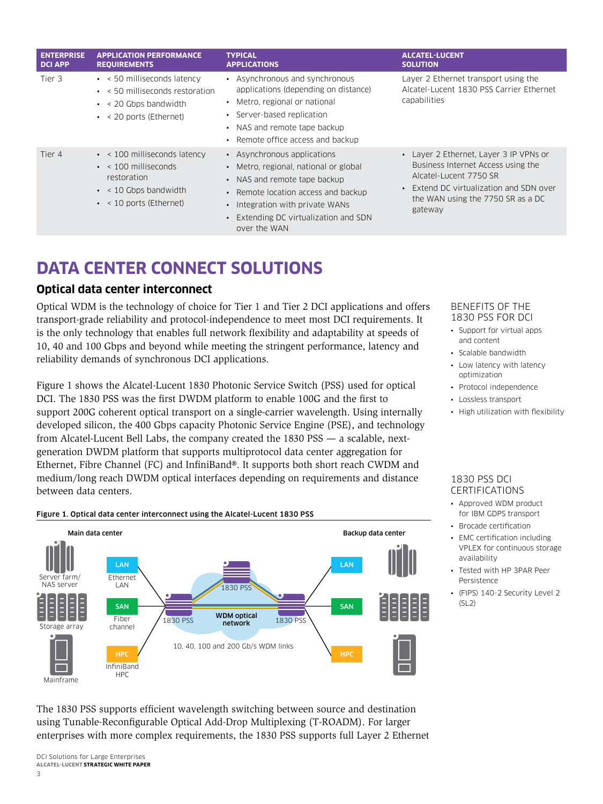<span id="page-4-0"></span>

| <b>ENTERPRISE</b><br><b>DCI APP</b> | <b>APPLICATION PERFORMANCE</b><br><b>REQUIREMENTS</b>                                                                                           | <b>TYPICAL</b><br><b>APPLICATIONS</b>                                                                                                                                                                                               | <b>ALCATEL-LUCENT</b><br><b>SOLUTION</b>                                                                                                                                                          |
|-------------------------------------|-------------------------------------------------------------------------------------------------------------------------------------------------|-------------------------------------------------------------------------------------------------------------------------------------------------------------------------------------------------------------------------------------|---------------------------------------------------------------------------------------------------------------------------------------------------------------------------------------------------|
| Tier 3                              | $\cdot$ < 50 milliseconds latency<br>$\cdot$ < 50 milliseconds restoration<br>$\bullet$ < 20 Gbps bandwidth<br>$\cdot$ < 20 ports (Ethernet)    | • Asynchronous and synchronous<br>applications (depending on distance)<br>Metro, regional or national<br>• Server-based replication<br>• NAS and remote tape backup<br>• Remote office access and backup                            | Layer 2 Ethernet transport using the<br>Alcatel-Lucent 1830 PSS Carrier Ethernet<br>capabilities                                                                                                  |
| Tier 4                              | $\cdot$ < 100 milliseconds latency<br>$\cdot$ < 100 milliseconds<br>restoration<br>$\cdot$ < 10 Gbps bandwidth<br>$\cdot$ < 10 ports (Ethernet) | • Asynchronous applications<br>• Metro, regional, national or global<br>• NAS and remote tape backup<br>• Remote location access and backup<br>Integration with private WANs<br>Extending DC virtualization and SDN<br>over the WAN | • Layer 2 Ethernet, Layer 3 IP VPNs or<br>Business Internet Access using the<br>Alcatel-Lucent 7750 SR<br>• Extend DC virtualization and SDN over<br>the WAN using the 7750 SR as a DC<br>gateway |

## **DATA CENTER CONNECT SOLUTIONS**

## **Optical data center interconnect**

Optical WDM is the technology of choice for Tier 1 and Tier 2 DCI applications and offers transport-grade reliability and protocol-independence to meet most DCI requirements. It is the only technology that enables full network flexibility and adaptability at speeds of 10, 40 and 100 Gbps and beyond while meeting the stringent performance, latency and reliability demands of synchronous DCI applications.

Figure 1 shows the Alcatel-Lucent 1830 Photonic Service Switch (PSS) used for optical DCI. The 1830 PSS was the first DWDM platform to enable 100G and the first to support 200G coherent optical transport on a single-carrier wavelength. Using internally developed silicon, the 400 Gbps capacity Photonic Service Engine (PSE), and technology from Alcatel-Lucent Bell Labs, the company created the 1830 PSS — a scalable, nextgeneration DWDM platform that supports multiprotocol data center aggregation for Ethernet, Fibre Channel (FC) and InfiniBand®. It supports both short reach CWDM and medium/long reach DWDM optical interfaces depending on requirements and distance between data centers.

## Figure 1. Optical data center interconnect using the Alcatel-Lucent 1830 PSS



## The 1830 PSS supports efficient wavelength switching between source and destination using Tunable-Reconfigurable Optical Add-Drop Multiplexing (T-ROADM). For larger enterprises with more complex requirements, the 1830 PSS supports full Layer 2 Ethernet

DCI Solutions for Large Enterprises **ALCATEL-LUCENT STRATEGIC WHITE PAPER**

### BENEFITS OF THE 1830 PSS FOR DCI

- Support for virtual apps and content
- Scalable bandwidth
- Low latency with latency optimization
- Protocol independence
- Lossless transport
- High utilization with flexibility

## 1830 PSS DCI CERTIFICATIONS

- Approved WDM product for IBM GDPS transport
- Brocade certification
- EMC certification including VPLEX for continuous storage availability
- Tested with HP 3PAR Peer Persistence
- (FIPS) 140-2 Security Level 2 (SL2)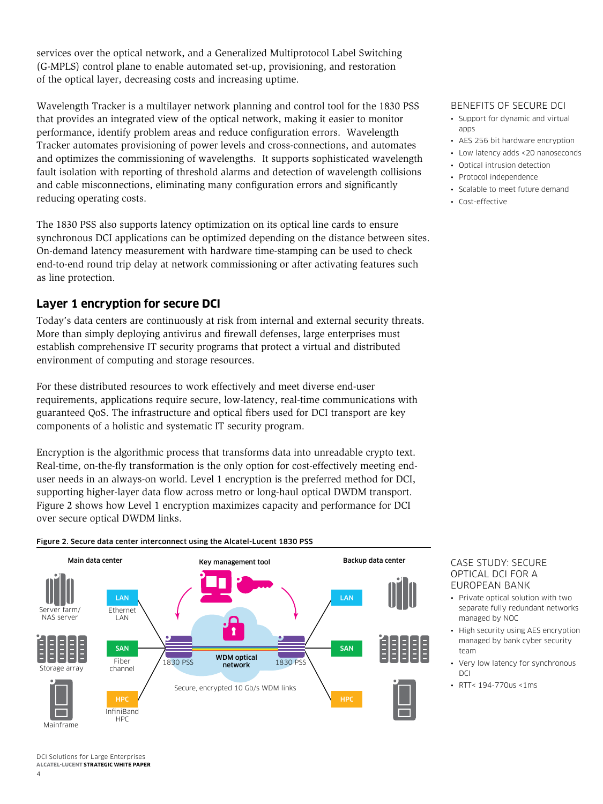<span id="page-5-0"></span>services over the optical network, and a Generalized Multiprotocol Label Switching (G-MPLS) control plane to enable automated set-up, provisioning, and restoration of the optical layer, decreasing costs and increasing uptime.

Wavelength Tracker is a multilayer network planning and control tool for the 1830 PSS that provides an integrated view of the optical network, making it easier to monitor performance, identify problem areas and reduce configuration errors. Wavelength Tracker automates provisioning of power levels and cross-connections, and automates and optimizes the commissioning of wavelengths. It supports sophisticated wavelength fault isolation with reporting of threshold alarms and detection of wavelength collisions and cable misconnections, eliminating many configuration errors and significantly reducing operating costs.

The 1830 PSS also supports latency optimization on its optical line cards to ensure synchronous DCI applications can be optimized depending on the distance between sites. On-demand latency measurement with hardware time-stamping can be used to check end-to-end round trip delay at network commissioning or after activating features such as line protection.

## **Layer 1 encryption for secure DCI**

Today's data centers are continuously at risk from internal and external security threats. More than simply deploying antivirus and firewall defenses, large enterprises must establish comprehensive IT security programs that protect a virtual and distributed environment of computing and storage resources.

For these distributed resources to work effectively and meet diverse end-user requirements, applications require secure, low-latency, real-time communications with guaranteed QoS. The infrastructure and optical fibers used for DCI transport are key components of a holistic and systematic IT security program.

Encryption is the algorithmic process that transforms data into unreadable crypto text. Real-time, on-the-fly transformation is the only option for cost-effectively meeting enduser needs in an always-on world. Level 1 encryption is the preferred method for DCI, supporting higher-layer data flow across metro or long-haul optical DWDM transport. Figure 2 shows how Level 1 encryption maximizes capacity and performance for DCI over secure optical DWDM links.

#### Figure 2. Secure data center interconnect using the Alcatel-Lucent 1830 PSS



### BENEFITS OF SECURE DCI

- Support for dynamic and virtual apps
- AES 256 bit hardware encryption
- Low latency adds <20 nanoseconds
- Optical intrusion detection
- Protocol independence
- Scalable to meet future demand
- Cost-effective

#### CASE STUDY: SECURE OPTICAL DCI FOR A EUROPEAN BANK

- Private optical solution with two separate fully redundant networks managed by NOC
- High security using AES encryption managed by bank cyber security team
- Very low latency for synchronous  $DCI$
- RTT< 194-770us <1ms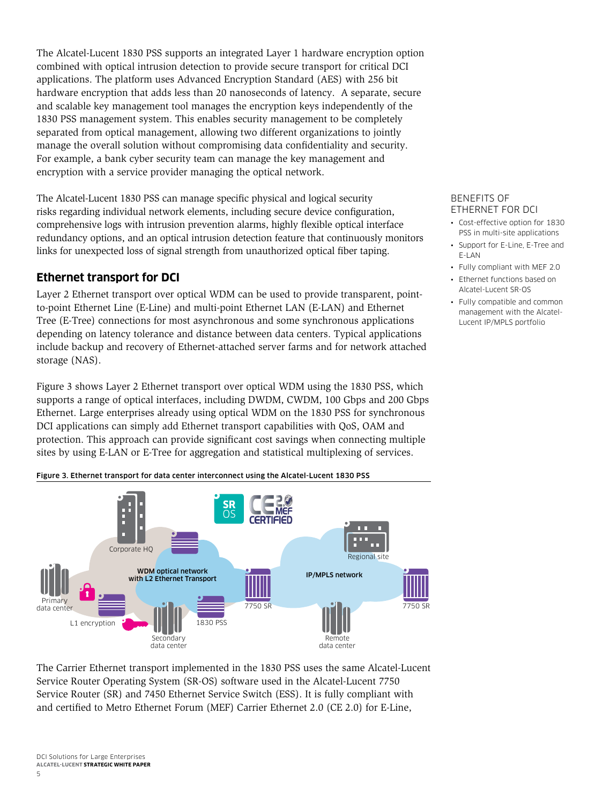<span id="page-6-0"></span>The Alcatel-Lucent 1830 PSS supports an integrated Layer 1 hardware encryption option combined with optical intrusion detection to provide secure transport for critical DCI applications. The platform uses Advanced Encryption Standard (AES) with 256 bit hardware encryption that adds less than 20 nanoseconds of latency. A separate, secure and scalable key management tool manages the encryption keys independently of the 1830 PSS management system. This enables security management to be completely separated from optical management, allowing two different organizations to jointly manage the overall solution without compromising data confidentiality and security. For example, a bank cyber security team can manage the key management and encryption with a service provider managing the optical network.

The Alcatel-Lucent 1830 PSS can manage specific physical and logical security risks regarding individual network elements, including secure device configuration, comprehensive logs with intrusion prevention alarms, highly flexible optical interface redundancy options, and an optical intrusion detection feature that continuously monitors links for unexpected loss of signal strength from unauthorized optical fiber taping.

## **Ethernet transport for DCI**

Layer 2 Ethernet transport over optical WDM can be used to provide transparent, pointto-point Ethernet Line (E-Line) and multi-point Ethernet LAN (E-LAN) and Ethernet Tree (E-Tree) connections for most asynchronous and some synchronous applications depending on latency tolerance and distance between data centers. Typical applications include backup and recovery of Ethernet-attached server farms and for network attached storage (NAS).

Figure 3 shows Layer 2 Ethernet transport over optical WDM using the 1830 PSS, which supports a range of optical interfaces, including DWDM, CWDM, 100 Gbps and 200 Gbps Ethernet. Large enterprises already using optical WDM on the 1830 PSS for synchronous DCI applications can simply add Ethernet transport capabilities with QoS, OAM and protection. This approach can provide significant cost savings when connecting multiple sites by using E-LAN or E-Tree for aggregation and statistical multiplexing of services.



Figure 3. Ethernet transport for data center interconnect using the Alcatel-Lucent 1830 PSS

The Carrier Ethernet transport implemented in the 1830 PSS uses the same Alcatel-Lucent Service Router Operating System (SR-OS) software used in the Alcatel-Lucent 7750 Service Router (SR) and 7450 Ethernet Service Switch (ESS). It is fully compliant with and certified to Metro Ethernet Forum (MEF) Carrier Ethernet 2.0 (CE 2.0) for E-Line,

#### BENEFITS OF ETHERNET FOR DCI

- Cost-effective option for 1830 PSS in multi-site applications
- Support for E-Line, E-Tree and E-LAN
- Fully compliant with MEF 2.0
- Ethernet functions based on Alcatel-Lucent SR-OS
- Fully compatible and common management with the Alcatel-Lucent IP/MPLS portfolio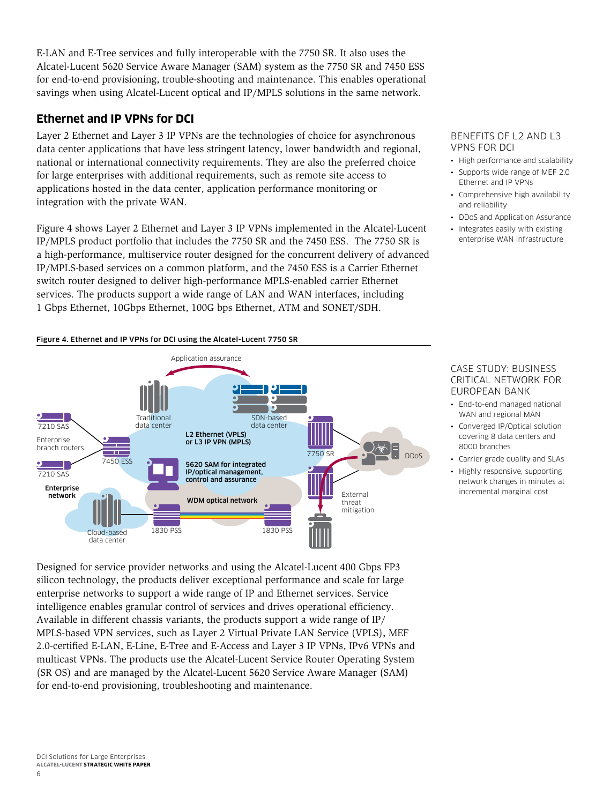<span id="page-7-0"></span>E-LAN and E-Tree services and fully interoperable with the 7750 SR. It also uses the Alcatel-Lucent 5620 Service Aware Manager (SAM) system as the 7750 SR and 7450 ESS for end-to-end provisioning, trouble-shooting and maintenance. This enables operational savings when using Alcatel-Lucent optical and IP/MPLS solutions in the same network.

## **Ethernet and IP VPNs for DCI**

Layer 2 Ethernet and Layer 3 IP VPNs are the technologies of choice for asynchronous data center applications that have less stringent latency, lower bandwidth and regional, national or international connectivity requirements. They are also the preferred choice for large enterprises with additional requirements, such as remote site access to applications hosted in the data center, application performance monitoring or integration with the private WAN.

Figure 4 shows Layer 2 Ethernet and Layer 3 IP VPNs implemented in the Alcatel-Lucent IP/MPLS product portfolio that includes the 7750 SR and the 7450 ESS. The 7750 SR is a high-performance, multiservice router designed for the concurrent delivery of advanced IP/MPLS-based services on a common platform, and the 7450 ESS is a Carrier Ethernet switch router designed to deliver high-performance MPLS-enabled carrier Ethernet services. The products support a wide range of LAN and WAN interfaces, including 1 Gbps Ethernet, 10Gbps Ethernet, 100G bps Ethernet, ATM and SONET/SDH.

## Figure 4. Ethernet and IP VPNs for DCI using the Alcatel-Lucent 7750 SR



Designed for service provider networks and using the Alcatel-Lucent 400 Gbps FP3 silicon technology, the products deliver exceptional performance and scale for large enterprise networks to support a wide range of IP and Ethernet services. Service intelligence enables granular control of services and drives operational efficiency. Available in different chassis variants, the products support a wide range of IP/ MPLS-based VPN services, such as Layer 2 Virtual Private LAN Service (VPLS), MEF 2.0-certified E-LAN, E-Line, E-Tree and E-Access and Layer 3 IP VPNs, IPv6 VPNs and multicast VPNs. The products use the Alcatel-Lucent Service Router Operating System (SR OS) and are managed by the Alcatel-Lucent 5620 Service Aware Manager (SAM) for end-to-end provisioning, troubleshooting and maintenance.

## BENEFITS OF L2 AND L3 VPNS FOR DCI

- High performance and scalability
- Supports wide range of MEF 2.0 Ethernet and IP VPNs
- Comprehensive high availability and reliability
- DDoS and Application Assurance
- Integrates easily with existing enterprise WAN infrastructure

### CASE STUDY: BUSINESS CRITICAL NETWORK FOR EUROPEAN BANK

- End-to-end managed national WAN and regional MAN
- Converged IP/Optical solution covering 8 data centers and 8000 branches
- Carrier grade quality and SLAs
- Highly responsive, supporting network changes in minutes at incremental marginal cost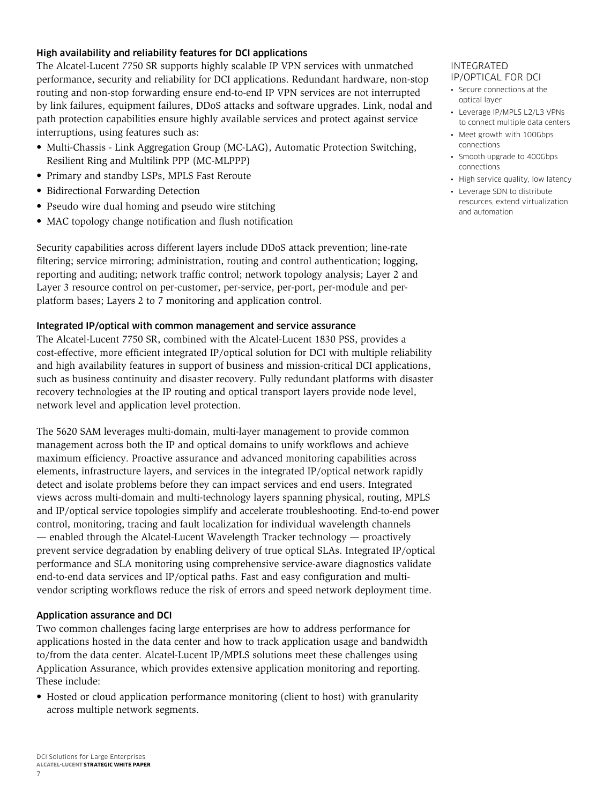## High availability and reliability features for DCI applications

The Alcatel-Lucent 7750 SR supports highly scalable IP VPN services with unmatched performance, security and reliability for DCI applications. Redundant hardware, non-stop routing and non-stop forwarding ensure end-to-end IP VPN services are not interrupted by link failures, equipment failures, DDoS attacks and software upgrades. Link, nodal and path protection capabilities ensure highly available services and protect against service interruptions, using features such as:

- Multi-Chassis Link Aggregation Group (MC-LAG), Automatic Protection Switching, Resilient Ring and Multilink PPP (MC-MLPPP)
- Primary and standby LSPs, MPLS Fast Reroute
- Bidirectional Forwarding Detection
- Pseudo wire dual homing and pseudo wire stitching
- MAC topology change notification and flush notification

Security capabilities across different layers include DDoS attack prevention; line-rate filtering; service mirroring; administration, routing and control authentication; logging, reporting and auditing; network traffic control; network topology analysis; Layer 2 and Layer 3 resource control on per-customer, per-service, per-port, per-module and perplatform bases; Layers 2 to 7 monitoring and application control.

### Integrated IP/optical with common management and service assurance

The Alcatel-Lucent 7750 SR, combined with the Alcatel-Lucent 1830 PSS, provides a cost-effective, more efficient integrated IP/optical solution for DCI with multiple reliability and high availability features in support of business and mission-critical DCI applications, such as business continuity and disaster recovery. Fully redundant platforms with disaster recovery technologies at the IP routing and optical transport layers provide node level, network level and application level protection.

The 5620 SAM leverages multi-domain, multi-layer management to provide common management across both the IP and optical domains to unify workflows and achieve maximum efficiency. Proactive assurance and advanced monitoring capabilities across elements, infrastructure layers, and services in the integrated IP/optical network rapidly detect and isolate problems before they can impact services and end users. Integrated views across multi-domain and multi-technology layers spanning physical, routing, MPLS and IP/optical service topologies simplify and accelerate troubleshooting. End-to-end power control, monitoring, tracing and fault localization for individual wavelength channels — enabled through the Alcatel-Lucent Wavelength Tracker technology — proactively prevent service degradation by enabling delivery of true optical SLAs. Integrated IP/optical performance and SLA monitoring using comprehensive service-aware diagnostics validate end-to-end data services and IP/optical paths. Fast and easy configuration and multivendor scripting workflows reduce the risk of errors and speed network deployment time.

## Application assurance and DCI

Two common challenges facing large enterprises are how to address performance for applications hosted in the data center and how to track application usage and bandwidth to/from the data center. Alcatel-Lucent IP/MPLS solutions meet these challenges using Application Assurance, which provides extensive application monitoring and reporting. These include:

• Hosted or cloud application performance monitoring (client to host) with granularity across multiple network segments.

#### INTEGRATED IP/OPTICAL FOR DCI

- Secure connections at the optical layer
- Leverage IP/MPLS L2/L3 VPNs to connect multiple data centers
- Meet growth with 100Gbps connections
- Smooth upgrade to 400Gbps connections
- High service quality, low latency
- Leverage SDN to distribute resources, extend virtualization and automation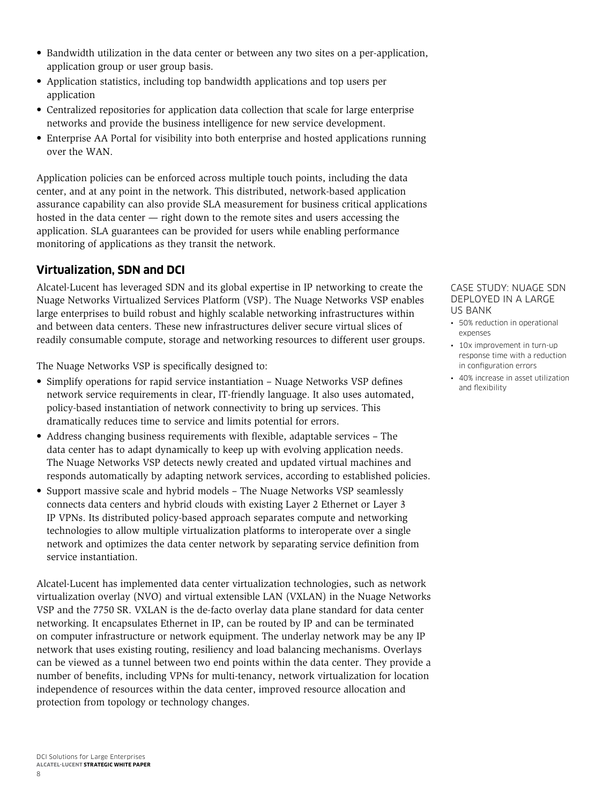- <span id="page-9-0"></span>• Bandwidth utilization in the data center or between any two sites on a per-application, application group or user group basis.
- Application statistics, including top bandwidth applications and top users per application
- Centralized repositories for application data collection that scale for large enterprise networks and provide the business intelligence for new service development.
- Enterprise AA Portal for visibility into both enterprise and hosted applications running over the WAN.

Application policies can be enforced across multiple touch points, including the data center, and at any point in the network. This distributed, network-based application assurance capability can also provide SLA measurement for business critical applications hosted in the data center — right down to the remote sites and users accessing the application. SLA guarantees can be provided for users while enabling performance monitoring of applications as they transit the network.

## **Virtualization, SDN and DCI**

Alcatel-Lucent has leveraged SDN and its global expertise in IP networking to create the Nuage Networks Virtualized Services Platform (VSP). The Nuage Networks VSP enables large enterprises to build robust and highly scalable networking infrastructures within and between data centers. These new infrastructures deliver secure virtual slices of readily consumable compute, storage and networking resources to different user groups.

The Nuage Networks VSP is specifically designed to:

- Simplify operations for rapid service instantiation Nuage Networks VSP defines network service requirements in clear, IT-friendly language. It also uses automated, policy-based instantiation of network connectivity to bring up services. This dramatically reduces time to service and limits potential for errors.
- Address changing business requirements with flexible, adaptable services The data center has to adapt dynamically to keep up with evolving application needs. The Nuage Networks VSP detects newly created and updated virtual machines and responds automatically by adapting network services, according to established policies.
- Support massive scale and hybrid models The Nuage Networks VSP seamlessly connects data centers and hybrid clouds with existing Layer 2 Ethernet or Layer 3 IP VPNs. Its distributed policy-based approach separates compute and networking technologies to allow multiple virtualization platforms to interoperate over a single network and optimizes the data center network by separating service definition from service instantiation.

Alcatel-Lucent has implemented data center virtualization technologies, such as network virtualization overlay (NVO) and virtual extensible LAN (VXLAN) in the Nuage Networks VSP and the 7750 SR. VXLAN is the de-facto overlay data plane standard for data center networking. It encapsulates Ethernet in IP, can be routed by IP and can be terminated on computer infrastructure or network equipment. The underlay network may be any IP network that uses existing routing, resiliency and load balancing mechanisms. Overlays can be viewed as a tunnel between two end points within the data center. They provide a number of benefits, including VPNs for multi-tenancy, network virtualization for location independence of resources within the data center, improved resource allocation and protection from topology or technology changes.

#### CASE STUDY: NUAGE SDN DEPLOYED IN A LARGE US BANK

- 50% reduction in operational expenses
- 10x improvement in turn-up response time with a reduction in configuration errors
- 40% increase in asset utilization and flexibility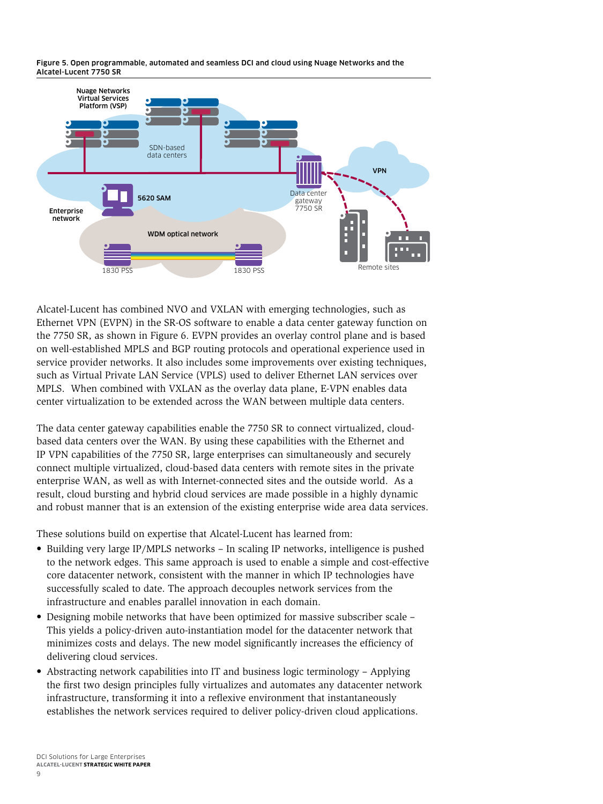



Alcatel-Lucent has combined NVO and VXLAN with emerging technologies, such as Ethernet VPN (EVPN) in the SR-OS software to enable a data center gateway function on the 7750 SR, as shown in Figure 6. EVPN provides an overlay control plane and is based on well-established MPLS and BGP routing protocols and operational experience used in service provider networks. It also includes some improvements over existing techniques, such as Virtual Private LAN Service (VPLS) used to deliver Ethernet LAN services over MPLS. When combined with VXLAN as the overlay data plane, E-VPN enables data center virtualization to be extended across the WAN between multiple data centers.

The data center gateway capabilities enable the 7750 SR to connect virtualized, cloudbased data centers over the WAN. By using these capabilities with the Ethernet and IP VPN capabilities of the 7750 SR, large enterprises can simultaneously and securely connect multiple virtualized, cloud-based data centers with remote sites in the private enterprise WAN, as well as with Internet-connected sites and the outside world. As a result, cloud bursting and hybrid cloud services are made possible in a highly dynamic and robust manner that is an extension of the existing enterprise wide area data services.

These solutions build on expertise that Alcatel-Lucent has learned from:

- Building very large IP/MPLS networks In scaling IP networks, intelligence is pushed to the network edges. This same approach is used to enable a simple and cost-effective core datacenter network, consistent with the manner in which IP technologies have successfully scaled to date. The approach decouples network services from the infrastructure and enables parallel innovation in each domain.
- Designing mobile networks that have been optimized for massive subscriber scale This yields a policy-driven auto-instantiation model for the datacenter network that minimizes costs and delays. The new model significantly increases the efficiency of delivering cloud services.
- Abstracting network capabilities into IT and business logic terminology Applying the first two design principles fully virtualizes and automates any datacenter network infrastructure, transforming it into a reflexive environment that instantaneously establishes the network services required to deliver policy-driven cloud applications.